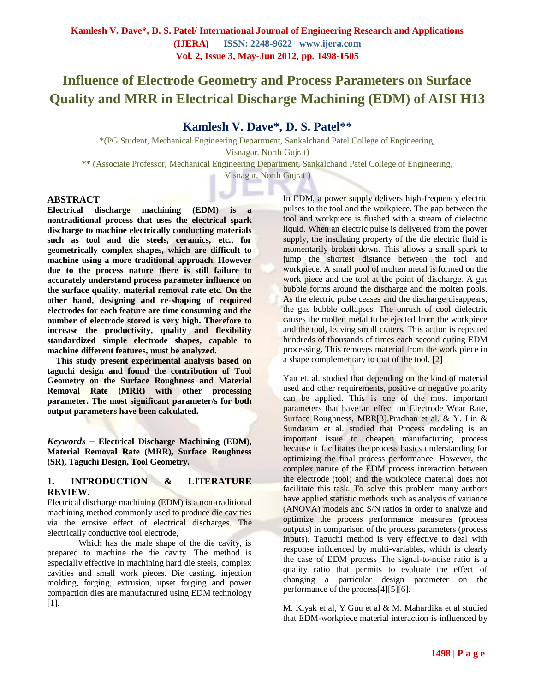# **Influence of Electrode Geometry and Process Parameters on Surface Quality and MRR in Electrical Discharge Machining (EDM) of AISI H13**

# **Kamlesh V. Dave\*, D. S. Patel\*\***

\*(PG Student, Mechanical Engineering Department, Sankalchand Patel College of Engineering, Visnagar, North Gujrat) \*\* (Associate Professor, Mechanical Engineering Department, Sankalchand Patel College of Engineering, Visnagar, North Gujrat )

#### **ABSTRACT**

**Electrical discharge machining (EDM) is a nontraditional process that uses the electrical spark discharge to machine electrically conducting materials such as tool and die steels, ceramics, etc., for geometrically complex shapes, which are difficult to machine using a more traditional approach. However due to the process nature there is still failure to accurately understand process parameter influence on the surface quality, material removal rate etc. On the other hand, designing and re-shaping of required electrodes for each feature are time consuming and the number of electrode stored is very high. Therefore to increase the productivity, quality and flexibility standardized simple electrode shapes, capable to machine different features, must be analyzed.**

**This study present experimental analysis based on taguchi design and found the contribution of Tool Geometry on the Surface Roughness and Material Removal Rate (MRR) with other processing parameter. The most significant parameter/s for both output parameters have been calculated.**

*Keywords* **– Electrical Discharge Machining (EDM), Material Removal Rate (MRR), Surface Roughness (SR), Taguchi Design, Tool Geometry.**

#### **1. INTRODUCTION & LITERATURE REVIEW.**

Electrical discharge machining (EDM) is a non-traditional machining method commonly used to produce die cavities via the erosive effect of electrical discharges. The electrically conductive tool electrode,

Which has the male shape of the die cavity, is prepared to machine the die cavity. The method is especially effective in machining hard die steels, complex cavities and small work pieces. Die casting, injection molding, forging, extrusion, upset forging and power compaction dies are manufactured using EDM technology [1].

In EDM, a power supply delivers high-frequency electric pulses to the tool and the workpiece. The gap between the tool and workpiece is flushed with a stream of dielectric liquid. When an electric pulse is delivered from the power supply, the insulating property of the die electric fluid is momentarily broken down. This allows a small spark to jump the shortest distance between the tool and workpiece. A small pool of molten metal is formed on the work piece and the tool at the point of discharge. A gas bubble forms around the discharge and the molten pools. As the electric pulse ceases and the discharge disappears, the gas bubble collapses. The onrush of cool dielectric causes the molten metal to be ejected from the workpiece and the tool, leaving small craters. This action is repeated hundreds of thousands of times each second during EDM processing. This removes material from the work piece in a shape complementary to that of the tool. [2]

Yan et. al. studied that depending on the kind of material used and other requirements, positive or negative polarity can be applied. This is one of the most important parameters that have an effect on Electrode Wear Rate, Surface Roughness, MRR[3].Pradhan et al. & Y. Lin & Sundaram et al. studied that Process modeling is an important issue to cheapen manufacturing process because it facilitates the process basics understanding for optimizing the final process performance. However, the complex nature of the EDM process interaction between the electrode (tool) and the workpiece material does not facilitate this task. To solve this problem many authors have applied statistic methods such as analysis of variance (ANOVA) models and S/N ratios in order to analyze and optimize the process performance measures (process outputs) in comparison of the process parameters (process inputs). Taguchi method is very effective to deal with response influenced by multi-variables, which is clearly the case of EDM process The signal-to-noise ratio is a quality ratio that permits to evaluate the effect of changing a particular design parameter on the performance of the process[4][5][6].

M. Kiyak et al, Y Guu et al & M. Mahardika et al studied that EDM-workpiece material interaction is influenced by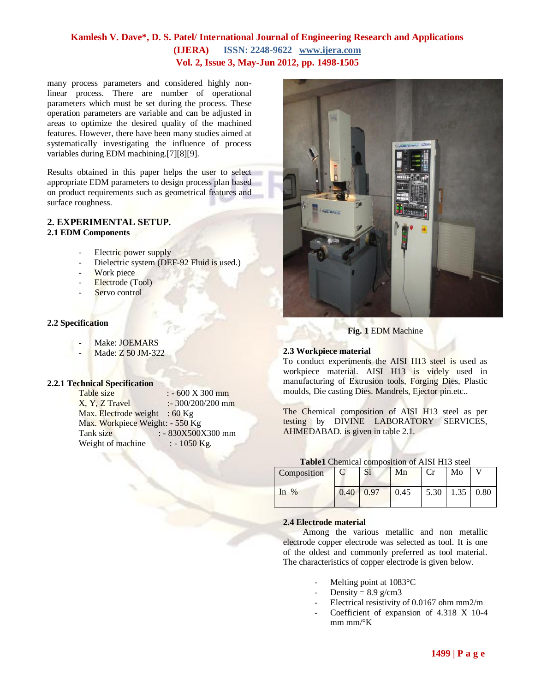many process parameters and considered highly nonlinear process. There are number of operational parameters which must be set during the process. These operation parameters are variable and can be adjusted in areas to optimize the desired quality of the machined features. However, there have been many studies aimed at systematically investigating the influence of process variables during EDM machining.[7][8][9].

Results obtained in this paper helps the user to select appropriate EDM parameters to design process plan based on product requirements such as geometrical features and surface roughness.

#### **2. EXPERIMENTAL SETUP. 2.1 EDM Components**

- Electric power supply
- Dielectric system (DEF-92 Fluid is used.)
- Work piece
- Electrode (Tool)
- Servo control

#### **2.2 Specification**

- Make: JOEMARS
- Made: Z 50 JM-322

#### **2.2.1 Technical Specification**

| Table size                      | $: -600 X 300 mm$   |
|---------------------------------|---------------------|
| X, Y, Z Travel                  | $: 300/200/200$ mm  |
| Max. Electrode weight : $60$ Kg |                     |
| Max. Workpiece Weight: - 550 Kg |                     |
| Tank size                       | $: -830X500X300$ mm |
| Weight of machine               | $: -1050$ Kg.       |



#### **Fig. 1** EDM Machine

#### **2.3 Workpiece material**

To conduct experiments the AISI H13 steel is used as workpiece material. AISI H13 is videly used in manufacturing of Extrusion tools, Forging Dies, Plastic moulds, Die casting Dies. Mandrels, Ejector pin.etc..

The Chemical composition of AISI H13 steel as per testing by DIVINE LABORATORY SERVICES, AHMEDABAD. is given in table 2.1.

| Table1 Chemical composition of AISI H13 steel |
|-----------------------------------------------|
|-----------------------------------------------|

| Composition |                     | Si | Mn   | Cr                                       | Mo |  |
|-------------|---------------------|----|------|------------------------------------------|----|--|
| In $%$      | $0.40 \,   \, 0.97$ |    | 0.45 | $\vert 5.30 \vert 1.35 \vert 0.80 \vert$ |    |  |

#### **2.4 Electrode material**

Among the various metallic and non metallic electrode copper electrode was selected as tool. It is one of the oldest and commonly preferred as tool material. The characteristics of copper electrode is given below.

- Melting point at  $1083^{\circ}$ C
- Density =  $8.9$  g/cm3
- Electrical resistivity of 0.0167 ohm mm2/m
- Coefficient of expansion of 4.318 X 10-4 mm mm/ $\mathrm{K}$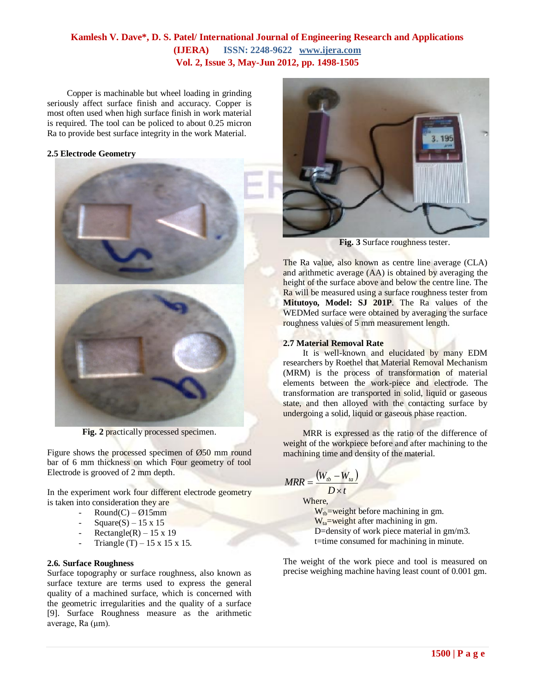Copper is machinable but wheel loading in grinding seriously affect surface finish and accuracy. Copper is most often used when high surface finish in work material is required. The tool can be policed to about 0.25 micron Ra to provide best surface integrity in the work Material.

#### **2.5 Electrode Geometry**



**Fig. 2** practically processed specimen.

Figure shows the processed specimen of Ø50 mm round bar of 6 mm thickness on which Four geometry of tool Electrode is grooved of 2 mm depth.

In the experiment work four different electrode geometry is taken into consideration they are

- $Round(C) Ø15mm$
- $Square(S) 15 \times 15$
- Rectangle(R) 15 x 19
- Triangle  $(T)$  15 x 15 x 15.

#### **2.6. Surface Roughness**

Surface topography or surface roughness, also known as surface texture are terms used to express the general quality of a machined surface, which is concerned with the geometric irregularities and the quality of a surface [9]. Surface Roughness measure as the arithmetic average, Ra (μm).



**Fig. 3** Surface roughness tester.

The Ra value, also known as centre line average (CLA) and arithmetic average (AA) is obtained by averaging the height of the surface above and below the centre line. The Ra will be measured using a surface roughness tester from **Mitutoyo, Model: SJ 201P**. The Ra values of the WEDMed surface were obtained by averaging the surface roughness values of 5 mm measurement length.

#### **2.7 Material Removal Rate**

It is well-known and elucidated by many EDM researchers by Roethel that Material Removal Mechanism (MRM) is the process of transformation of material elements between the work-piece and electrode. The transformation are transported in solid, liquid or gaseous state, and then alloyed with the contacting surface by undergoing a solid, liquid or gaseous phase reaction.

MRR is expressed as the ratio of the difference of weight of the workpiece before and after machining to the machining time and density of the material.

$$
MRR = \frac{(W_{tb} - W_{ta})}{T}
$$

 $D \times t$ Where,

 $W_{tb}$ =weight before machining in gm.  $W_{ta}$ =weight after machining in gm. D=density of work piece material in gm/m3. t=time consumed for machining in minute.

The weight of the work piece and tool is measured on precise weighing machine having least count of 0.001 gm.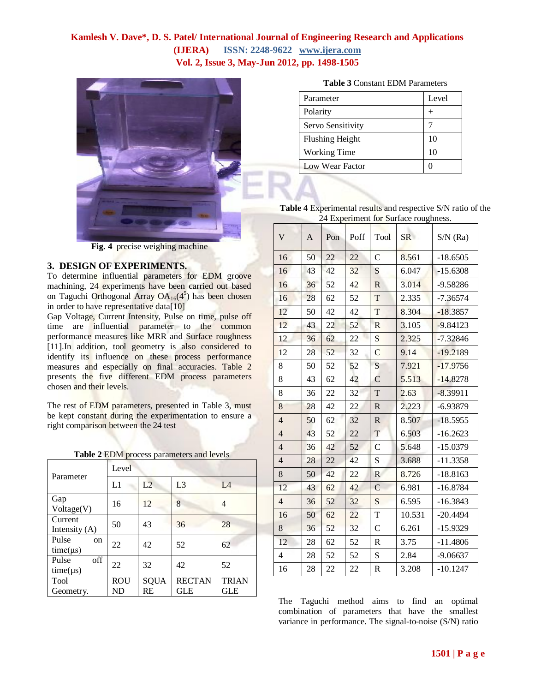

**Fig. 4** precise weighing machine

#### **3. DESIGN OF EXPERIMENTS.**

To determine influential parameters for EDM groove machining, 24 experiments have been carried out based on Taguchi Orthogonal Array OA<sub>16</sub>(4<sup>5</sup>) has been chosen in order to have representative data[10]

Gap Voltage, Current Intensity, Pulse on time, pulse off time are influential parameter to the common performance measures like MRR and Surface roughness [11].In addition, tool geometry is also considered to identify its influence on these process performance measures and especially on final accuracies. Table 2 presents the five different EDM process parameters chosen and their levels.

The rest of EDM parameters, presented in Table 3, must be kept constant during the experimentation to ensure a right comparison between the 24 test

| Table 2 EDM process parameters and levels |  |  |
|-------------------------------------------|--|--|
|                                           |  |  |

| Parameter                               | Level            |            |                             |                     |  |  |
|-----------------------------------------|------------------|------------|-----------------------------|---------------------|--|--|
|                                         | L1               | L2         | L <sub>3</sub>              | IA                  |  |  |
| Gap<br>Voltage(V)                       | 16               | 12         | 8                           | 4                   |  |  |
| Current<br>Intensity $(A)$              | 50               | 43         | 36                          | 28                  |  |  |
| Pulse<br><sub>on</sub><br>$time(\mu s)$ | 22               | 42         | 52                          | 62                  |  |  |
| off<br>Pulse<br>$time(\mu s)$           | 22               | 32         | 42                          | 52                  |  |  |
| Tool<br>Geometry.                       | <b>ROU</b><br>ND | SQUA<br>RE | <b>RECTAN</b><br><b>GLE</b> | <b>TRIAN</b><br>GLE |  |  |

|  |  |  | <b>Table 3 Constant EDM Parameters</b> |
|--|--|--|----------------------------------------|
|--|--|--|----------------------------------------|

| Parameter              | Level |
|------------------------|-------|
| Polarity               |       |
| Servo Sensitivity      |       |
| <b>Flushing Height</b> | 10    |
| <b>Working Time</b>    | 10    |
| <b>Low Wear Factor</b> |       |

**Table 4** Experimental results and respective S/N ratio of the 24 Experiment for Surface roughness.

| V              | $\mathbf{A}$ | Pon | Poff | Tool          | SR     | $S/N$ (Ra) |
|----------------|--------------|-----|------|---------------|--------|------------|
| 16             | 50           | 22  | 22   | C             | 8.561  | $-18.6505$ |
| 16             | 43           | 42  | 32   | S             | 6.047  | $-15.6308$ |
| 16             | 36           | 52  | 42   | $\mathbb{R}$  | 3.014  | $-9.58286$ |
| 16             | 28           | 62  | 52   | T             | 2.335  | $-7.36574$ |
| 12             | 50           | 42  | 42   | T             | 8.304  | $-18.3857$ |
| 12             | 43           | 22  | 52   | $\mathbb{R}$  | 3.105  | $-9.84123$ |
| 12             | 36           | 62  | 22   | S             | 2.325  | $-7.32846$ |
| 12             | 28           | 52  | 32   | C             | 9.14   | $-19.2189$ |
| 8              | 50           | 52  | 52   | S             | 7.921  | $-17.9756$ |
| 8              | 43           | 62  | 42   | C             | 5.513  | $-14.8278$ |
| 8              | 36           | 22  | 32   | T             | 2.63   | $-8.39911$ |
| 8              | 28           | 42  | 22   | $\mathbb{R}$  | 2.223  | $-6.93879$ |
| $\overline{4}$ | 50           | 62  | 32   | $\mathbb{R}$  | 8.507  | $-18.5955$ |
| $\overline{4}$ | 43           | 52  | 22   | T             | 6.503  | $-16.2623$ |
| $\overline{4}$ | 36           | 42  | 52   | C             | 5.648  | $-15.0379$ |
| $\overline{4}$ | 28           | 22  | 42   | S             | 3.688  | $-11.3358$ |
| 8              | 50           | 42  | 22   | R             | 8.726  | $-18.8163$ |
| 12             | 43           | 62  | 42   | $\mathcal{C}$ | 6.981  | $-16.8784$ |
| $\overline{4}$ | 36           | 52  | 32   | S             | 6.595  | $-16.3843$ |
| 16             | 50           | 62  | 22   | T             | 10.531 | $-20.4494$ |
| 8              | 36           | 52  | 32   | $\mathcal{C}$ | 6.261  | $-15.9329$ |
| 12             | 28           | 62  | 52   | R             | 3.75   | $-11.4806$ |
| 4              | 28           | 52  | 52   | S             | 2.84   | $-9.06637$ |
| 16             | 28           | 22  | 22   | $\mathbb R$   | 3.208  | $-10.1247$ |

The Taguchi method aims to find an optimal combination of parameters that have the smallest variance in performance. The signal-to-noise (S/N) ratio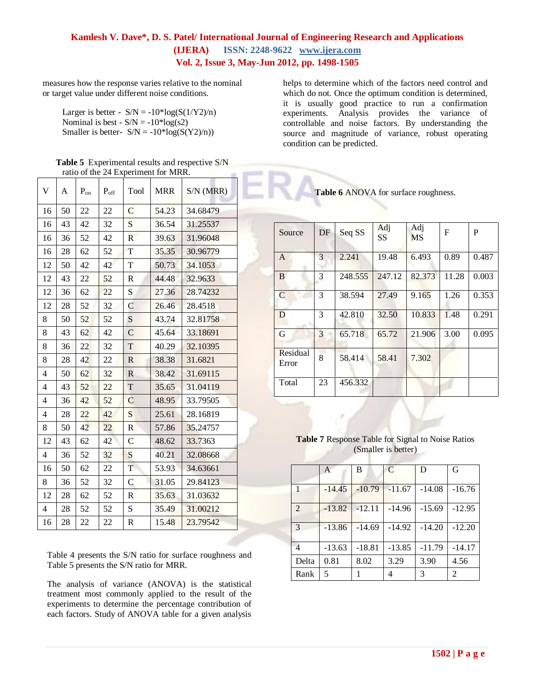measures how the response varies relative to the nominal or target value under different noise conditions.

Larger is better -  $S/N = -10*log(S(1/Y2)/n)$ Nominal is best -  $S/N = -10*log(s2)$ Smaller is better- $S/N = -10*log(S(Y2)/n)$ 

| <b>Table 5</b> Experimental results and respective S/N |
|--------------------------------------------------------|
| ratio of the 24 Experiment for MRR.                    |

| V              | A  | $\mathbf{P}_{\text{on}}$ | $P_{\rm off}$ | Tool                    | <b>MRR</b> | $S/N$ (MRR) |
|----------------|----|--------------------------|---------------|-------------------------|------------|-------------|
| 16             | 50 | 22                       | 22            | $\overline{C}$          | 54.23      | 34.68479    |
| 16             | 43 | 42                       | 32            | S                       | 36.54      | 31.25537    |
| 16             | 36 | 52                       | 42            | $\mathbb{R}$            | 39.63      | 31.96048    |
| 16             | 28 | 62                       | 52            | T                       | 35.35      | 30.96779    |
| 12             | 50 | 42                       | 42            | T                       | 50.73      | 34.1053     |
| 12             | 43 | 22                       | 52            | R                       | 44.48      | 32.9633     |
| 12             | 36 | 62                       | 22            | S                       | 27.36      | 28.74232    |
| 12             | 28 | 52                       | 32            | $\mathsf{C}$            | 26.46      | 28.4518     |
| 8              | 50 | 52                       | 52            | S                       | 43.74      | 32.81758    |
| 8              | 43 | 62                       | 42            | $\mathcal{C}$           | 45.64      | 33.18691    |
| 8              | 36 | 22                       | 32            | T                       | 40.29      | 32.10395    |
| 8              | 28 | 42                       | 22            | $\mathbf R$             | 38.38      | 31.6821     |
| 4              | 50 | 62                       | 32            | $\mathbf R$             | 38.42      | 31.69115    |
| $\overline{4}$ | 43 | 52                       | 22            | T                       | 35.65      | 31.04119    |
| $\overline{4}$ | 36 | 42                       | 52            | $\mathcal{C}$           | 48.95      | 33.79505    |
| 4              | 28 | 22                       | 42            | S                       | 25.61      | 28.16819    |
| 8              | 50 | 42                       | 22            | R                       | 57.86      | 35.24757    |
| 12             | 43 | 62                       | 42            | $\mathsf{C}$            | 48.62      | 33.7363     |
| $\overline{4}$ | 36 | 52                       | 32            | S                       | 40.21      | 32.08668    |
| 16             | 50 | 62                       | 22            | $\overline{\mathrm{T}}$ | 53.93      | 34.63661    |
| 8              | 36 | 52                       | 32            | $\mathsf{C}$            | 31.05      | 29.84123    |
| 12             | 28 | 62                       | 52            | R                       | 35.63      | 31.03632    |
| $\overline{4}$ | 28 | 52                       | 52            | S                       | 35.49      | 31.00212    |
| 16             | 28 | 22                       | 22            | R                       | 15.48      | 23.79542    |

Table 4 presents the S/N ratio for surface roughness and Table 5 presents the S/N ratio for MRR.

The analysis of variance (ANOVA) is the statistical treatment most commonly applied to the result of the experiments to determine the percentage contribution of each factors. Study of ANOVA table for a given analysis helps to determine which of the factors need control and which do not. Once the optimum condition is determined, it is usually good practice to run a confirmation experiments. Analysis provides the variance of controllable and noise factors. By understanding the source and magnitude of variance, robust operating condition can be predicted.

**Table 6** ANOVA for surface roughness.

| Source            | DF | Seq SS  | Adj<br>SS | Adj<br>MS | F     | P     |
|-------------------|----|---------|-----------|-----------|-------|-------|
| $\mathsf{A}$      | 3  | 2.241   | 19.48     | 6.493     | 0.89  | 0.487 |
| B                 | 3  | 248,555 | 247.12    | 82.373    | 11.28 | 0.003 |
| $\mathsf{C}$      | 3  | 38.594  | 27.49     | 9.165     | 1.26  | 0.353 |
| D                 | 3  | 42.810  | 32.50     | 10.833    | 1.48  | 0.291 |
| G                 | 3  | 65.718  | 65.72     | 21.906    | 3.00  | 0.095 |
| Residual<br>Error | 8  | 58.414  | 58.41     | 7.302     |       |       |
| Total             | 23 | 456.332 |           |           |       |       |

**Table 7** Response Table for Signal to Noise Ratios (Smaller is better)

|                | A        | в        | $\mathcal{C}$ | D        | G        |
|----------------|----------|----------|---------------|----------|----------|
| 1              | $-14.45$ | $-10.79$ | $-11.67$      | $-14.08$ | $-16.76$ |
| $\overline{2}$ | $-13.82$ | $-12.11$ | $-14.96$      | $-15.69$ | $-12.95$ |
| 3              | $-13.86$ | $-14.69$ | $-14.92$      | $-14.20$ | $-12.20$ |
|                | $-13.63$ | $-18.81$ | $-13.85$      | $-11.79$ | $-14.17$ |
| Delta          | 0.81     | 8.02     | 3.29          | 3.90     | 4.56     |
| Rank           | 5        |          |               | 3        | 2        |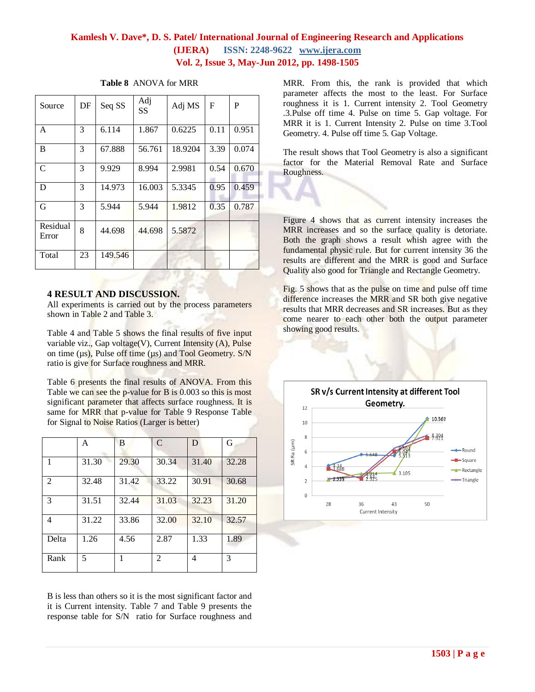| Source            | DF | Seq SS  | Adj<br>SS | Adj MS  | $\mathbf{F}$ | P     |
|-------------------|----|---------|-----------|---------|--------------|-------|
| A                 | 3  | 6.114   | 1.867     | 0.6225  | 0.11         | 0.951 |
| B                 | 3  | 67.888  | 56.761    | 18.9204 | 3.39         | 0.074 |
| $\mathcal{C}$     | 3  | 9.929   | 8.994     | 2.9981  | 0.54         | 0.670 |
| D                 | 3  | 14.973  | 16.003    | 5.3345  | 0.95         | 0.459 |
| G                 | 3  | 5.944   | 5.944     | 1.9812  | 0.35         | 0.787 |
| Residual<br>Error | 8  | 44.698  | 44.698    | 5.5872  |              |       |
| Total             | 23 | 149.546 |           |         |              |       |

#### **Table 8** ANOVA for MRR

#### **4 RESULT AND DISCUSSION.**

All experiments is carried out by the process parameters shown in Table 2 and Table 3.

Table 4 and Table 5 shows the final results of five input variable viz., Gap voltage(V), Current Intensity (A), Pulse on time (µs), Pulse off time (µs) and Tool Geometry. S/N ratio is give for Surface roughness and MRR.

Table 6 presents the final results of ANOVA. From this Table we can see the p-value for B is 0.003 so this is most significant parameter that affects surface roughness. It is same for MRR that p-value for Table 9 Response Table for Signal to Noise Ratios (Larger is better)

|                | A     | B     | $\mathcal{C}$ | D     | G     |
|----------------|-------|-------|---------------|-------|-------|
| 1              | 31.30 | 29.30 | 30.34         | 31.40 | 32.28 |
| $\overline{2}$ | 32.48 | 31.42 | 33.22         | 30.91 | 30.68 |
| 3              | 31.51 | 32.44 | 31.03         | 32.23 | 31.20 |
| 4              | 31.22 | 33.86 | 32.00         | 32.10 | 32.57 |
| Delta          | 1.26  | 4.56  | 2.87          | 1.33  | 1.89  |
| Rank           | 5     |       | 2             | 4     | 3     |

B is less than others so it is the most significant factor and it is Current intensity. Table 7 and Table 9 presents the response table for S/N ratio for Surface roughness and

MRR. From this, the rank is provided that which parameter affects the most to the least. For Surface roughness it is 1. Current intensity 2. Tool Geometry .3.Pulse off time 4. Pulse on time 5. Gap voltage. For MRR it is 1. Current Intensity 2. Pulse on time 3.Tool Geometry. 4. Pulse off time 5. Gap Voltage.

The result shows that Tool Geometry is also a significant factor for the Material Removal Rate and Surface Roughness.

Figure 4 shows that as current intensity increases the MRR increases and so the surface quality is detoriate. Both the graph shows a result whish agree with the fundamental physic rule. But for current intensity 36 the results are different and the MRR is good and Surface Quality also good for Triangle and Rectangle Geometry.

Fig. 5 shows that as the pulse on time and pulse off time difference increases the MRR and SR both give negative results that MRR decreases and SR increases. But as they come nearer to each other both the output parameter showing good results.

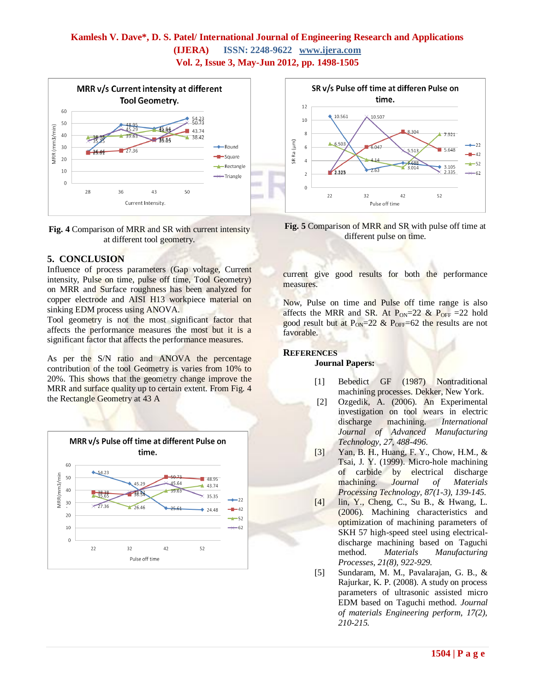



### **5. CONCLUSION**

Influence of process parameters (Gap voltage, Current intensity, Pulse on time, pulse off time, Tool Geometry) on MRR and Surface roughness has been analyzed for copper electrode and AISI H13 workpiece material on sinking EDM process using ANOVA.

Tool geometry is not the most significant factor that affects the performance measures the most but it is a significant factor that affects the performance measures.

As per the S/N ratio and ANOVA the percentage contribution of the tool Geometry is varies from 10% to 20%. This shows that the geometry change improve the MRR and surface quality up to certain extent. From Fig. 4 the Rectangle Geometry at 43 A





**Fig. 5** Comparison of MRR and SR with pulse off time at different pulse on time.

current give good results for both the performance measures.

Now, Pulse on time and Pulse off time range is also affects the MRR and SR. At  $P_{ON}=22$  &  $P_{OFF}=22$  hold good result but at  $P_{ON} = 22 \& P_{OFF} = 62$  the results are not favorable.

#### **REFERENCES**

#### **Journal Papers:**

- [1] Bebedict GF (1987) Nontraditional machining processes. Dekker, New York.
- [2] Ozgedik, A. (2006). An Experimental investigation on tool wears in electric discharge machining. *International Journal of Advanced Manufacturing Technology, 27, 488-496*.
- [3] Yan, B. H., Huang, F. Y., Chow, H.M., & Tsai, J. Y. (1999). Micro-hole machining of carbide by electrical discharge machining. *Journal of Materials Processing Technology, 87(1-3), 139-145.*
- [4] lin, Y., Cheng, C., Su B., & Hwang, L. (2006). Machining characteristics and optimization of machining parameters of SKH 57 high-speed steel using electricaldischarge machining based on Taguchi method. *Materials Manufacturing Processes, 21(8), 922-929.*
- [5] Sundaram, M. M., Pavalarajan, G. B., & Rajurkar, K. P. (2008). A study on process parameters of ultrasonic assisted micro EDM based on Taguchi method*. Journal of materials Engineering perform, 17(2), 210-215.*